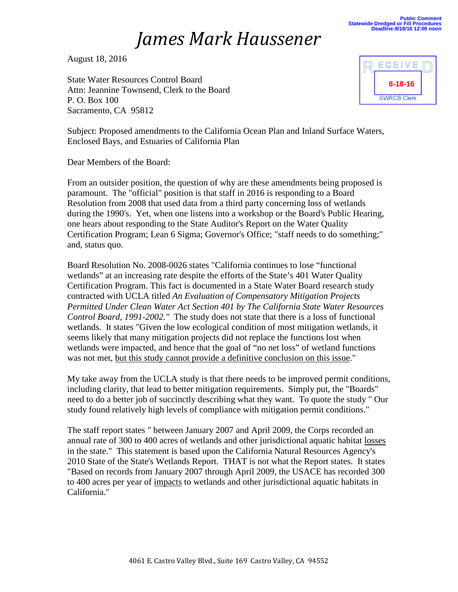## *James Mark Haussener*

August 18, 2016

State Water Resources Control Board Attn: Jeannine Townsend, Clerk to the Board P. O. Box 100 Sacramento, CA 95812



**Public Comment Statewide Dredged or Fill Procedures Deadline:8/18/16 12:00 noon**

Subject: Proposed amendments to the California Ocean Plan and Inland Surface Waters, Enclosed Bays, and Estuaries of California Plan

Dear Members of the Board:

From an outsider position, the question of why are these amendments being proposed is paramount. The "official" position is that staff in 2016 is responding to a Board Resolution from 2008 that used data from a third party concerning loss of wetlands during the 1990's. Yet, when one listens into a workshop or the Board's Public Hearing, one hears about responding to the State Auditor's Report on the Water Quality Certification Program; Lean 6 Sigma; Governor's Office; "staff needs to do something;" and, status quo.

Board Resolution No. 2008-0026 states "California continues to lose "functional wetlands" at an increasing rate despite the efforts of the State's 401 Water Quality Certification Program. This fact is documented in a State Water Board research study contracted with UCLA titled *An Evaluation of Compensatory Mitigation Projects Permitted Under Clean Water Act Section 401 by The California State Water Resources Control Board, 1991-2002."* The study does not state that there is a loss of functional wetlands. It states "Given the low ecological condition of most mitigation wetlands, it seems likely that many mitigation projects did not replace the functions lost when wetlands were impacted, and hence that the goal of "no net loss" of wetland functions was not met, but this study cannot provide a definitive conclusion on this issue."

My take away from the UCLA study is that there needs to be improved permit conditions, including clarity, that lead to better mitigation requirements. Simply put, the "Boards" need to do a better job of succinctly describing what they want. To quote the study " Our study found relatively high levels of compliance with mitigation permit conditions."

The staff report states " between January 2007 and April 2009, the Corps recorded an annual rate of 300 to 400 acres of wetlands and other jurisdictional aquatic habitat losses in the state." This statement is based upon the California Natural Resources Agency's 2010 State of the State's Wetlands Report. THAT is not what the Report states. It states "Based on records from January 2007 through April 2009, the USACE has recorded 300 to 400 acres per year of impacts to wetlands and other jurisdictional aquatic habitats in California."